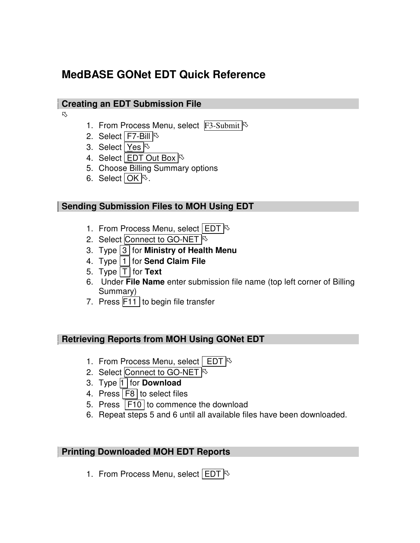# **MedBASE GONet EDT Quick Reference**

#### **Creating an EDT Submission File**

13

- 1. From Process Menu, select  $F3$ -Submit  $\sim$
- 2. Select  $\boxed{\mathsf{F7}\text{-Bill}}$
- 3. Select Yes  $\triangleright$
- 4. Select **EDT** Out Box  $\sqrt{6}$
- 5. Choose Billing Summary options
- 6. Select  $\overline{OK}$ <sup> $\otimes$ </sup>.

### **Sending Submission Files to MOH Using EDT**

- 1. From Process Menu, select  $|EDT|$
- 2. Select Connect to GO-NET
- 3. Type 3 for **Ministry of Health Menu**
- 4. Type 1 for **Send Claim File**
- 5. Type  $\boxed{\mathsf{T}}$  for **Text**
- 6. Under **File Name** enter submission file name (top left corner of Billing Summary)
- 7. Press  $F11$  to begin file transfer

### **Retrieving Reports from MOH Using GONet EDT**

- 1. From Process Menu, select  $|$  EDT  $|\&$
- 2. Select Connect to GO-NET
- 3. Type 1 for **Download**
- 4. Press F8 to select files
- 5. Press  $F10$  to commence the download
- 6. Repeat steps 5 and 6 until all available files have been downloaded.

### **Printing Downloaded MOH EDT Reports**

1. From Process Menu, select  $|EDT|$